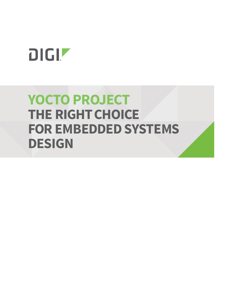# DIGIT

## **YOCTO PROJECT THE RIGHT CHOICE FOR EMBEDDED SYSTEMS DESIGN**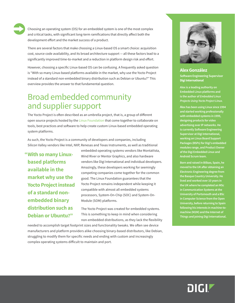Choosing an operating system (OS) for an embedded system is one of the most complex and critical tasks, with significant long-term ramifications that directly affect both the development effort and the market success of a product.

There are several factors that make choosing a Linux-based OS a smart choice: acquisition cost, source code availability, and its broad architecture support — all these factors lead to a significantly improved time-to-market and a reduction in platform design risk and effort.

However, choosing a specific Linux-based OS can be confusing. A frequently asked question is "With so many Linux-based platforms available in the market, why use the Yocto Project instead of a standard non-embedded binary distribution such as Debian or Ubuntu?" This overview provides the answer to that fundamental question.

#### Broad embedded community and supplier support

The Yocto Project is often described as an umbrella project, that is, a group of different open source projects hosted by the [Linux Foundation](https://www.linuxfoundation.org/) that come together to collaborate on tools, best practices and software to help create custom Linux-based embedded operating system platforms.

As such, the Yocto Project is a community of developers and companies, including Silicon Valley vendors like Intel, NXP, Renesas and Texas Instruments, as well as traditional

**With so many Linux-"based platforms available in the market why use the Yocto Project instead of a standard nonembedded binary distribution such as Debian or Ubuntu?"**

embedded operating systems vendors like MontaVista, Wind River or Mentor Graphics, and also hardware vendors like Digi International and individual developers. Amazingly, these developers working for seemingly competing companies come together for the common good. The Linux Foundation guarantees that the Yocto Project remains independent while keeping it compatible with almost all embedded systems processors, System-On-Chip (SOC) and System-On-Module (SOM) platforms.

The Yocto Project was created for embedded systems. This is something to keep in mind when considering non-embedded distributions, as they lack the flexibility

needed to accomplish target footprint sizes and functionality tweaks. We often see device manufacturers and platform providers alike choosing binary-based distributors, like Debian, struggling to modify them for specific needs and ending with custom and increasingly complex operating systems difficult to maintain and port.



#### **Alex González**

**Software Engineering Supervisor Digi International**

**Alex is a leading authority on Embedded Linux platforms and is the author of** *Embedded Linux Projects Using Yocto Project Linux.* 

**Alex has been using Linux since 1994 and started working professionally with embedded systems in 1999, designing products for video advertising over IP networks. He is currently Software Engineering Supervisor at Digi International, working on Linux Board Support Packages (BSPs) for Digi's embedded modules range, and Product Owner of the Digi Embedded Linux and Android Scrum team.**

**Born and raised in Bilbao, Spain, he moved to the UK after obtaining an Electronic Engineering degree from the Basque Country University. He lived and worked over 10 years in the UK where he completed an MSc in Communication Systems at the University of Portsmouth and a BSc in Computer Science from the Open University, before returning to Spain following his interests in machine-tomachine (M2M) and the Internet of Things and joining Digi International.**

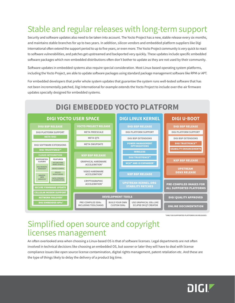#### Stable and regular releases with long-term support

Security and software updates also need to be taken into account. The Yocto Project has a new, stable release every six months, and maintains stable branches for up to two years. In addition, silicon vendors and embedded platform suppliers like Digi International often extend the support period to up to five years, or even more. The Yocto Project community is very quick to react to software vulnerabilities, and patches get upstreamed and backported very quickly. These updates include specific embedded software packages which non-embedded distributions often don't bother to update as they are not used by their community.

Software updates in embedded systems also require special consideration. Most Linux-based operating system platforms, including the Yocto Project, are able to update software packages using standard package management software like RPM or APT.

For embedded developers that prefer whole system updates that guarantee the system runs well-tested software that has not been incrementally patched, Digi International for example extends the Yocto Project to include over-the-air firmware updates specially designed for embedded systems.



**\*ONLY ON SUPPORTED PLATFORMS OR RELEASES**

#### Simplified open source and copyright licenses management

An often overlooked area when choosing a Linux-based OS is that of software licenses. Legal departments are not often involved in technical decisions like choosing an embedded OS, but sooner or later they will have to deal with license compliance issues like open source license contamination, digital rights management, patent retaliation etc. And these are the type of things likely to delay the delivery of a product big time.